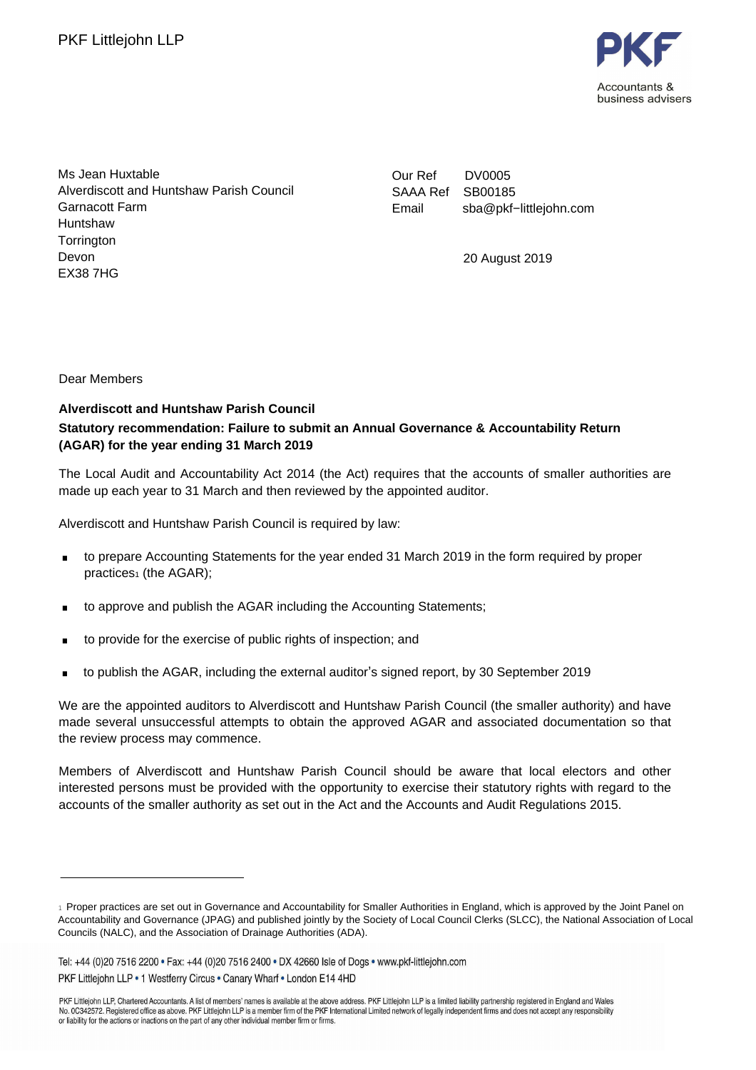

Ms Jean Huxtable Alverdiscott and Huntshaw Parish Council Garnacott Farm Huntshaw **Torrington** Devon EX38 7HG

Our Ref DV0005 SAAA Ref SB00185 Email sba@pkf−littlejohn.com

. 20 August 2019

Dear Members

## . **(AGAR) for the year ending 31 March 2019 Alverdiscott and Huntshaw Parish Council Statutory recommendation: Failure to submit an Annual Governance & Accountability Return**

The Local Audit and Accountability Act 2014 (the Act) requires that the accounts of smaller authorities are made up each year to 31 March and then reviewed by the appointed auditor.

Alverdiscott and Huntshaw Parish Council is required by law:

- . to prepare Accounting Statements for the year ended 31 March 2019 in the form required by proper practices<sub>1</sub> (the AGAR);
- to approve and publish the AGAR including the Accounting Statements;
- . to provide for the exercise of public rights of inspection; and
- . to publish the AGAR, including the external auditor's signed report, by 30 September 2019

We are the appointed auditors to Alverdiscott and Huntshaw Parish Council (the smaller authority) and have made several unsuccessful attempts to obtain the approved AGAR and associated documentation so that the review process may commence.

Members of Alverdiscott and Huntshaw Parish Council should be aware that local electors and other interested persons must be provided with the opportunity to exercise their statutory rights with regard to the accounts of the smaller authority as set out in the Act and the Accounts and Audit Regulations 2015.

<sup>1</sup> Proper practices are set out in Governance and Accountability for Smaller Authorities in England, which is approved by the Joint Panel on Accountability and Governance (JPAG) and published jointly by the Society of Local Council Clerks (SLCC), the National Association of Local Councils (NALC), and the Association of Drainage Authorities (ADA).

Tel: +44 (0)20 7516 2200 · Fax: +44 (0)20 7516 2400 · DX 42660 Isle of Dogs · www.pkf-littlejohn.com PKF Littlejohn LLP . 1 Westferry Circus . Canary Wharf . London E14 4HD

PKF Littleiohn LLP, Chartered Accountants. A list of members' names is available at the above address. PKF Littleiohn LLP is a limited liability partnership registered in England and Wales No. 0C342572. Registered office as above. PKF Littlejohn LLP is a member firm of the PKF International Limited network of legally independent firms and does not accept any responsibility of the CNF International Limited ne or liability for the actions or inactions on the part of any other individual member firm or firms.